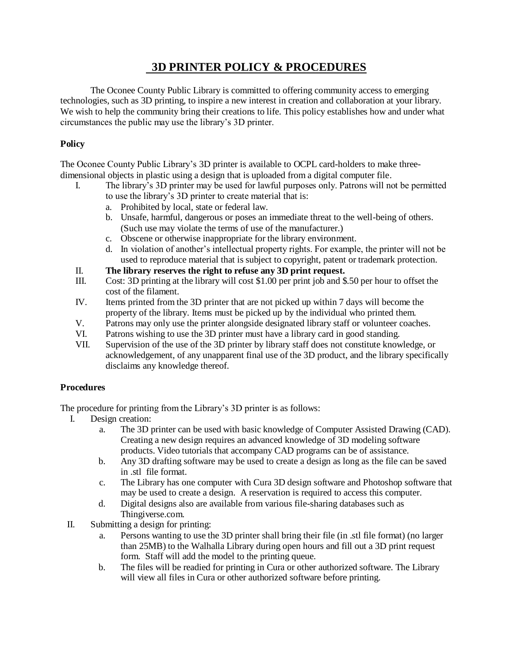## **3D PRINTER POLICY & PROCEDURES**

The Oconee County Public Library is committed to offering community access to emerging technologies, such as 3D printing, to inspire a new interest in creation and collaboration at your library. We wish to help the community bring their creations to life. This policy establishes how and under what circumstances the public may use the library's 3D printer.

## **Policy**

The Oconee County Public Library's 3D printer is available to OCPL card-holders to make threedimensional objects in plastic using a design that is uploaded from a digital computer file.

- I. The library's 3D printer may be used for lawful purposes only. Patrons will not be permitted to use the library's 3D printer to create material that is:
	- a. Prohibited by local, state or federal law.
	- b. Unsafe, harmful, dangerous or poses an immediate threat to the well-being of others. (Such use may violate the terms of use of the manufacturer.)
	- c. Obscene or otherwise inappropriate for the library environment.
	- d. In violation of another's intellectual property rights. For example, the printer will not be used to reproduce material that is subject to copyright, patent or trademark protection.
- II. **The library reserves the right to refuse any 3D print request.**
- III. Cost: 3D printing at the library will cost \$1.00 per print job and \$.50 per hour to offset the cost of the filament.
- IV. Items printed from the 3D printer that are not picked up within 7 days will become the property of the library. Items must be picked up by the individual who printed them.
- V. Patrons may only use the printer alongside designated library staff or volunteer coaches.
- VI. Patrons wishing to use the 3D printer must have a library card in good standing.
- VII. Supervision of the use of the 3D printer by library staff does not constitute knowledge, or acknowledgement, of any unapparent final use of the 3D product, and the library specifically disclaims any knowledge thereof.

## **Procedures**

The procedure for printing from the Library's 3D printer is as follows:

- I. Design creation:
	- a. The 3D printer can be used with basic knowledge of Computer Assisted Drawing (CAD). Creating a new design requires an advanced knowledge of 3D modeling software products. Video tutorials that accompany CAD programs can be of assistance.
	- b. Any 3D drafting software may be used to create a design as long as the file can be saved in .stl file format.
	- c. The Library has one computer with Cura 3D design software and Photoshop software that may be used to create a design. A reservation is required to access this computer.
	- d. Digital designs also are available from various file-sharing databases such as Thingiverse.com.
- II. Submitting a design for printing:
	- a. Persons wanting to use the 3D printer shall bring their file (in .stl file format) (no larger than 25MB) to the Walhalla Library during open hours and fill out a 3D print request form. Staff will add the model to the printing queue.
	- b. The files will be readied for printing in Cura or other authorized software. The Library will view all files in Cura or other authorized software before printing.